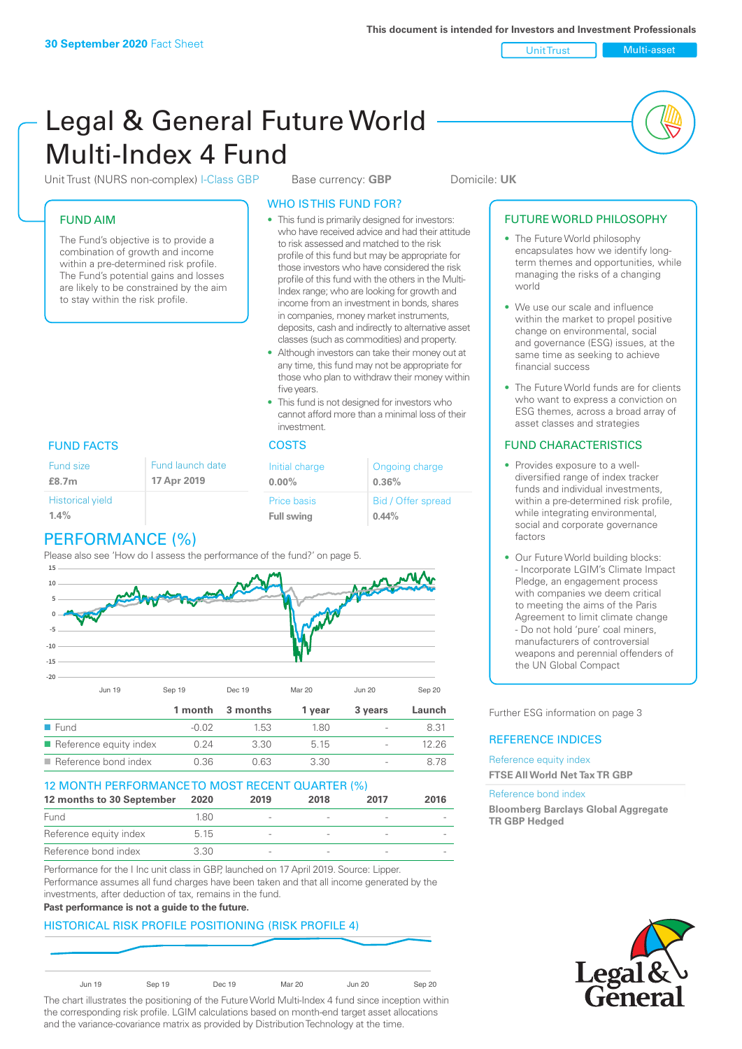Unit Trust Nulti-asset

# Legal & General Future World Multi-Index 4 Fund

Unit Trust (NURS non-complex) I-Class GBP Base currency: **GBP** Domicile: UK

## FUND AIM

The Fund's objective is to provide a combination of growth and income within a pre-determined risk profile. The Fund's potential gains and losses are likely to be constrained by the aim to stay within the risk profile.

## WHO IS THIS FUND FOR?

- This fund is primarily designed for investors: who have received advice and had their attitude to risk assessed and matched to the risk profile of this fund but may be appropriate for those investors who have considered the risk profile of this fund with the others in the Multi-Index range; who are looking for growth and income from an investment in bonds, shares in companies, money market instruments, deposits, cash and indirectly to alternative asset classes (such as commodities) and property.
- Although investors can take their money out at any time, this fund may not be appropriate for those who plan to withdraw their money within five years.
- This fund is not designed for investors who cannot afford more than a minimal loss of their investment.

## FUND FACTS COSTS

| Fund size               | Fund launch date | Initial charge     | Ongoing charge     |  |
|-------------------------|------------------|--------------------|--------------------|--|
| £8.7m                   | 17 Apr 2019      | $0.00\%$           | 0.36%              |  |
| <b>Historical yield</b> |                  | <b>Price basis</b> | Bid / Offer spread |  |
| 1.4%                    |                  | <b>Full swing</b>  | $0.44\%$           |  |

# PERFORMANCE (%)

Please also see 'How do I assess the performance of the fund?' on page 5.



| <b>10 MONITH DEDECOMMANICE TO MOCT DECENT OLIADTED (0/1)</b> |      |      |       |                          |       |
|--------------------------------------------------------------|------|------|-------|--------------------------|-------|
| $\blacksquare$ Reference bond index                          | 0.36 | በ 63 | -3.30 | $\overline{\phantom{a}}$ | 8.78  |
| $\blacksquare$ Reference equity index                        | N 24 | 3.30 | 5 1 5 | $\overline{\phantom{a}}$ | 12 26 |

| 12 MONTH PERFORMANCE TO MOST RECENT QUARTER (%) |       |                          |      |        |      |
|-------------------------------------------------|-------|--------------------------|------|--------|------|
| 12 months to 30 September                       | 2020  | 2019                     | 2018 | 2017   | 2016 |
| Fund                                            | 1.80  | $\overline{\phantom{a}}$ |      |        |      |
| Reference equity index                          | 5 1 5 | $\overline{\phantom{0}}$ |      |        |      |
| Reference bond index                            | 3.30  | $\overline{\phantom{a}}$ |      | $\sim$ |      |

Performance for the I Inc unit class in GBP, launched on 17 April 2019. Source: Lipper. Performance assumes all fund charges have been taken and that all income generated by the investments, after deduction of tax, remains in the fund.

#### **Past performance is not a guide to the future.**

## HISTORICAL RISK PROFILE POSITIONING (RISK PROFILE 4)

| Jun 19 | Sep 19 | Dec 19 | Mar 20 | <b>Jun 20</b> | Sep 20 |
|--------|--------|--------|--------|---------------|--------|

The chart illustrates the positioning of the Future World Multi-Index 4 fund since inception within the corresponding risk profile. LGIM calculations based on month-end target asset allocations and the variance-covariance matrix as provided by Distribution Technology at the time.

#### FUTURE WORLD PHILOSOPHY

- The Future World philosophy encapsulates how we identify longterm themes and opportunities, while managing the risks of a changing world
- We use our scale and influence within the market to propel positive change on environmental, social and governance (ESG) issues, at the same time as seeking to achieve financial success
- The Future World funds are for clients who want to express a conviction on ESG themes, across a broad array of asset classes and strategies

## FUND CHARACTERISTICS

- Provides exposure to a welldiversified range of index tracker funds and individual investments, within a pre-determined risk profile while integrating environmental, social and corporate governance factors
- Our Future World building blocks: - Incorporate LGIM's Climate Impact Pledge, an engagement process with companies we deem critical to meeting the aims of the Paris Agreement to limit climate change - Do not hold 'pure' coal miners, manufacturers of controversial weapons and perennial offenders of the UN Global Compact

Further ESG information on page 3

#### REFERENCE INDICES

Reference equity index **FTSE All World Net Tax TR GBP**

#### Reference bond index

**Bloomberg Barclays Global Aggregate TR GBP Hedged**

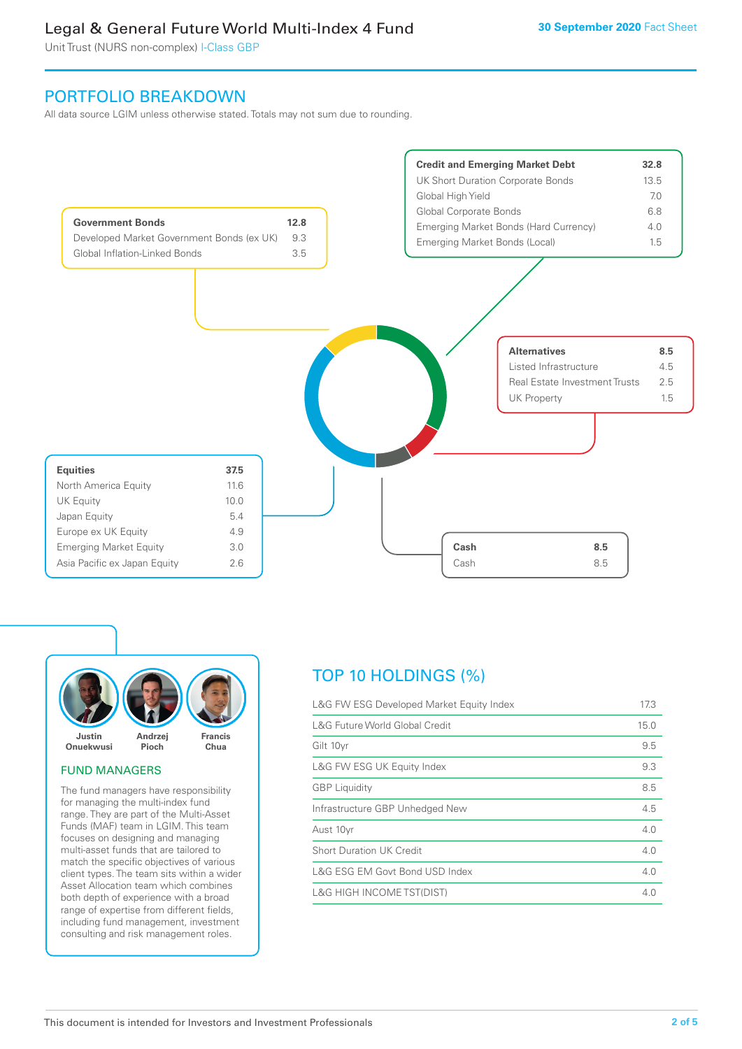Unit Trust (NURS non-complex) I-Class GBP

## PORTFOLIO BREAKDOWN

All data source LGIM unless otherwise stated. Totals may not sum due to rounding.





#### FUND MANAGERS

The fund managers have responsibility for managing the multi-index fund range. They are part of the Multi-Asset Funds (MAF) team in LGIM. This team focuses on designing and managing multi-asset funds that are tailored to match the specific objectives of various client types. The team sits within a wider Asset Allocation team which combines both depth of experience with a broad range of expertise from different fields, including fund management, investment consulting and risk management roles.

# TOP 10 HOLDINGS (%)

| L&G FW ESG Developed Market Equity Index | 17.3 |
|------------------------------------------|------|
| L&G Future World Global Credit           | 15.0 |
| Gilt 10yr                                | 9.5  |
| L&G FW ESG UK Equity Index               | 9.3  |
| <b>GBP</b> Liquidity                     | 8.5  |
| Infrastructure GBP Unhedged New          | 4.5  |
| Aust 10yr                                | 4.0  |
| <b>Short Duration UK Credit</b>          | 4.0  |
| L&G ESG EM Govt Bond USD Index           | 4.0  |
| <b>L&amp;G HIGH INCOME TST(DIST)</b>     | 4 N  |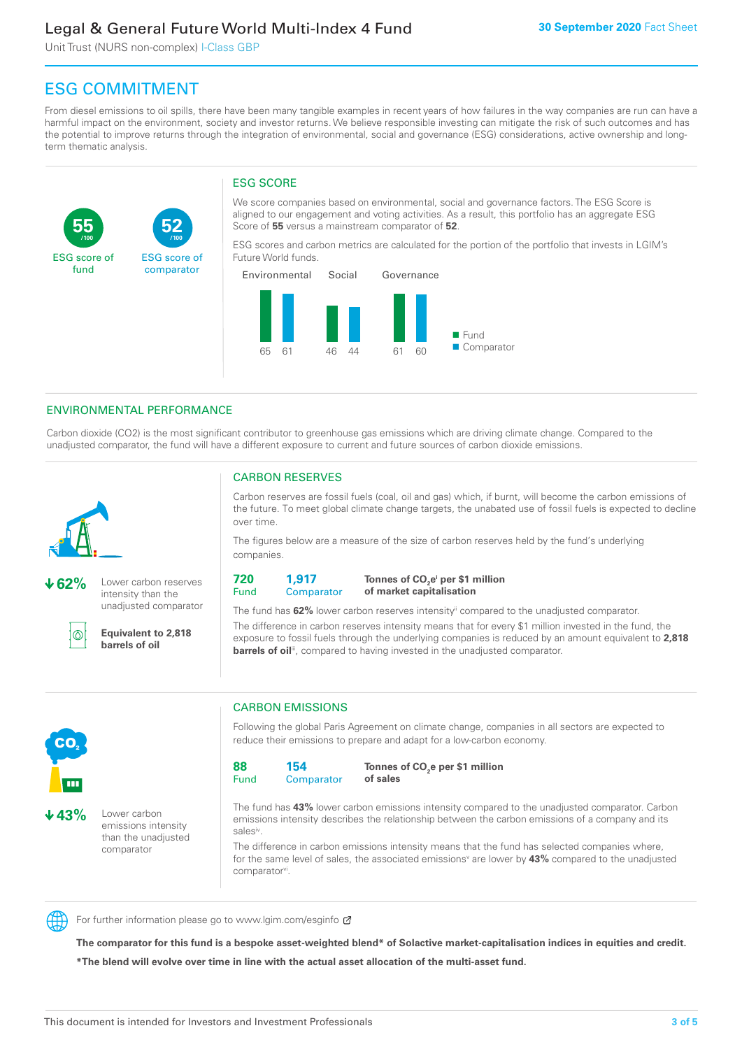Unit Trust (NURS non-complex) I-Class GBP

**52**

ESG score of comparator

# ESG COMMITMENT

**/100 /100**

From diesel emissions to oil spills, there have been many tangible examples in recent years of how failures in the way companies are run can have a harmful impact on the environment, society and investor returns. We believe responsible investing can mitigate the risk of such outcomes and has the potential to improve returns through the integration of environmental, social and governance (ESG) considerations, active ownership and longterm thematic analysis.

## ESG SCORE

We score companies based on environmental, social and governance factors. The ESG Score is aligned to our engagement and voting activities. As a result, this portfolio has an aggregate ESG Score of **55** versus a mainstream comparator of **52**.

ESG scores and carbon metrics are calculated for the portion of the portfolio that invests in LGIM's Future World funds.



#### ENVIRONMENTAL PERFORMANCE

Carbon dioxide (CO2) is the most significant contributor to greenhouse gas emissions which are driving climate change. Compared to the unadjusted comparator, the fund will have a different exposure to current and future sources of carbon dioxide emissions.



**55**

ESG score of fund

**62%** Lower carbon reserves intensity than the

unadjusted comparator

൹

**Equivalent to 2,818 barrels of oil**

## CARBON RESERVES

Carbon reserves are fossil fuels (coal, oil and gas) which, if burnt, will become the carbon emissions of the future. To meet global climate change targets, the unabated use of fossil fuels is expected to decline over time.

The figures below are a measure of the size of carbon reserves held by the fund's underlying companies.

**720** Fund **1,917 Comparator** 

**Tonnes of CO2 ei per \$1 million of market capitalisation**

The fund has **62%** lower carbon reserves intensityii compared to the unadjusted comparator. The difference in carbon reserves intensity means that for every \$1 million invested in the fund, the exposure to fossil fuels through the underlying companies is reduced by an amount equivalent to **2,818 barrels of oil**<sup>iii</sup>, compared to having invested in the unadjusted comparator.



**43%** Lower carbon emissions intensity than the unadjusted comparator

## CARBON EMISSIONS

Following the global Paris Agreement on climate change, companies in all sectors are expected to reduce their emissions to prepare and adapt for a low-carbon economy.

**88** Fund **154 Comparator** 

**Tonnes of CO2 e per \$1 million of sales**

The fund has **43%** lower carbon emissions intensity compared to the unadjusted comparator. Carbon emissions intensity describes the relationship between the carbon emissions of a company and its salesiv

The difference in carbon emissions intensity means that the fund has selected companies where, for the same level of sales, the associated emissions<sup>v</sup> are lower by 43% compared to the unadjusted comparator<sup>vi</sup>.



For further information please go to www.lgim.com/esginfo Ø

**The comparator for this fund is a bespoke asset-weighted blend\* of Solactive market-capitalisation indices in equities and credit. \*The blend will evolve over time in line with the actual asset allocation of the multi-asset fund.**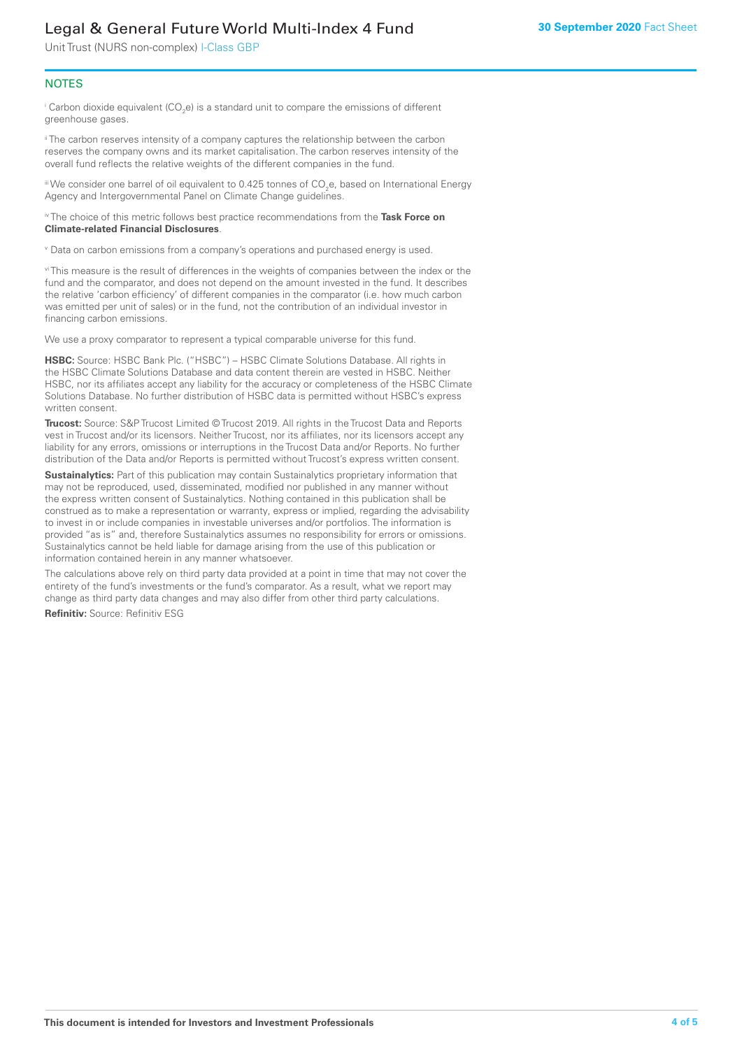Unit Trust (NURS non-complex) I-Class GBP

#### **NOTES**

 $^\mathrm{i}$  Carbon dioxide equivalent (CO<sub>2</sub>e) is a standard unit to compare the emissions of different greenhouse gases.

<sup>ii</sup> The carbon reserves intensity of a company captures the relationship between the carbon reserves the company owns and its market capitalisation. The carbon reserves intensity of the overall fund reflects the relative weights of the different companies in the fund.

iii We consider one barrel of oil equivalent to 0.425 tonnes of CO<sub>2</sub>e, based on International Energy Agency and Intergovernmental Panel on Climate Change guidelines.

#### iv The choice of this metric follows best practice recommendations from the **Task Force on Climate-related Financial Disclosures**.

v Data on carbon emissions from a company's operations and purchased energy is used.

vi This measure is the result of differences in the weights of companies between the index or the fund and the comparator, and does not depend on the amount invested in the fund. It describes the relative 'carbon efficiency' of different companies in the comparator (i.e. how much carbon was emitted per unit of sales) or in the fund, not the contribution of an individual investor in financing carbon emissions.

We use a proxy comparator to represent a typical comparable universe for this fund.

**HSBC:** Source: HSBC Bank Plc. ("HSBC") – HSBC Climate Solutions Database. All rights in the HSBC Climate Solutions Database and data content therein are vested in HSBC. Neither HSBC, nor its affiliates accept any liability for the accuracy or completeness of the HSBC Climate Solutions Database. No further distribution of HSBC data is permitted without HSBC's express written consent.

**Trucost:** Source: S&P Trucost Limited © Trucost 2019. All rights in the Trucost Data and Reports vest in Trucost and/or its licensors. Neither Trucost, nor its affiliates, nor its licensors accept any liability for any errors, omissions or interruptions in the Trucost Data and/or Reports. No further distribution of the Data and/or Reports is permitted without Trucost's express written consent.

**Sustainalytics:** Part of this publication may contain Sustainalytics proprietary information that may not be reproduced, used, disseminated, modified nor published in any manner without the express written consent of Sustainalytics. Nothing contained in this publication shall be construed as to make a representation or warranty, express or implied, regarding the advisability to invest in or include companies in investable universes and/or portfolios. The information is provided "as is" and, therefore Sustainalytics assumes no responsibility for errors or omissions. Sustainalytics cannot be held liable for damage arising from the use of this publication or information contained herein in any manner whatsoever.

The calculations above rely on third party data provided at a point in time that may not cover the entirety of the fund's investments or the fund's comparator. As a result, what we report may change as third party data changes and may also differ from other third party calculations.

**Refinitiv:** Source: Refinitiv ESG